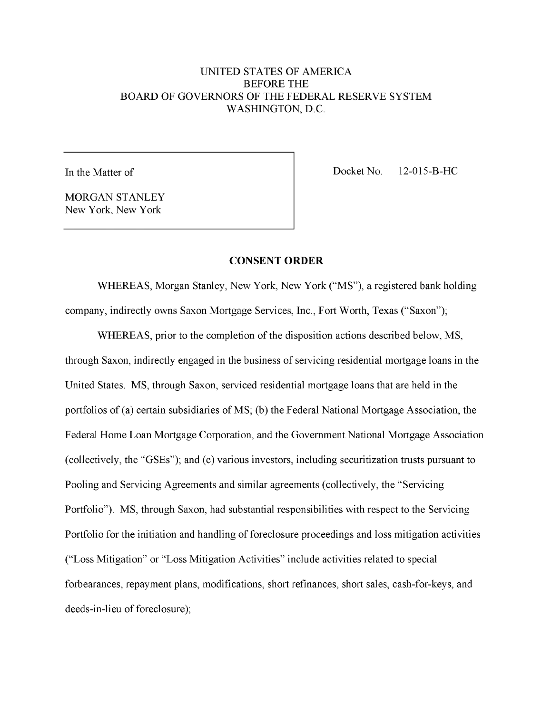# UNITED STATES OF AMERICA BEFORE THE BOARD OF GOVERNORS OF THE FEDERAL RESERVE SYSTEM WASHINGTON, D.C.

In the Matter of.

Docket No. 12-015-B-HC.

**MORGAN STANLEY** New York, New York.

#### **CONSENT ORDER**

WHEREAS, Morgan Stanley, New York, New York ("MS"), a registered bank holding company, indirectly owns Saxon Mortgage Services, Inc., Fort Worth, Texas ("Saxon");

WHEREAS, prior to the completion of the disposition actions described below, MS, through Saxon, indirectly engaged in the business of servicing residential mortgage loans in the United States. MS, through Saxon, serviced residential mortgage loans that are held in the portfolios of (a) certain subsidiaries of MS; (b) the Federal National Mortgage Association, the Federal Home Loan Mortgage Corporation, and the Government National Mortgage Association (collectively, the "GSEs"); and (c) various investors, including securitization trusts pursuant to Pooling and Servicing Agreements and similar agreements (collectively, the "Servicing Portfolio"). MS, through Saxon, had substantial responsibilities with respect to the Servicing Portfolio for the initiation and handling of foreclosure proceedings and loss mitigation activities ("Loss Mitigation" or "Loss Mitigation Activities" include activities related to special forbearances, repayment plans, modifications, short refinances, short sales, cash-for-keys, and deeds-in-lieu of foreclosure);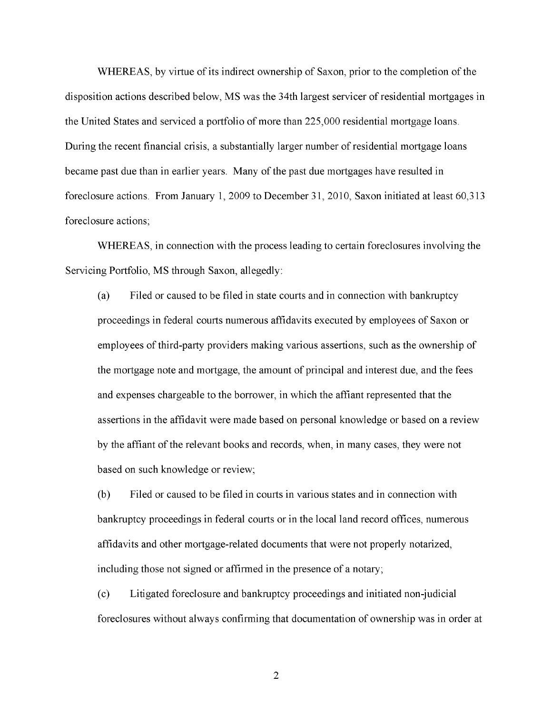WHEREAS, by virtue of its indirect ownership of Saxon, prior to the completion of the disposition actions described below, MS was the 34th largest servicer of residential mortgages in the United States and serviced a portfolio of more than 225,000 residential mortgage loans. During the recent financial crisis, a substantially larger number of residential mortgage loans became past due than in earlier years. Many of the past due mortgages have resulted in foreclosure actions. From January 1, 2009 to December 31, 2010, Saxon initiated at least 60,313 foreclosure actions;

WHEREAS, in connection with the process leading to certain foreclosures involving the Servicing Portfolio, MS through Saxon, allegedly:

(a) Filed or caused to be filed in state courts and in connection with bankruptcy proceedings in federal courts numerous affidavits executed by employees of Saxon or employees of third-party providers making various assertions, such as the ownership of the mortgage note and mortgage, the amount of principal and interest due, and the fees and expenses chargeable to the borrower, in which the affiant represented that the assertions in the affidavit were made based on personal knowledge or based on a review by the affiant of the relevant books and records, when, in many cases, they were not based on such knowledge or review;

(b) Filed or caused to be filed in courts in various states and in connection with bankruptcy proceedings in federal courts or in the local land record offices, numerous affidavits and other mortgage-related documents that were not properly notarized, including those not signed or affirmed in the presence of a notary;

(c) Litigated foreclosure and bankruptcy proceedings and initiated non-judicial foreclosures without always confirming that documentation of ownership was in order at.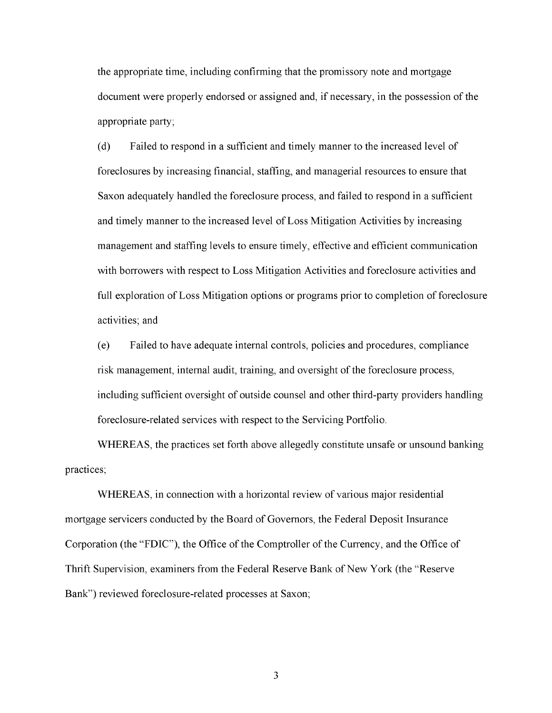the appropriate time, including confirming that the promissory note and mortgage document were properly endorsed or assigned and, if necessary, in the possession of the appropriate party;

(d) Failed to respond in a sufficient and timely manner to the increased level of foreclosures by increasing financial, staffing, and managerial resources to ensure that Saxon adequately handled the foreclosure process, and failed to respond in a sufficient and timely manner to the increased level of Loss Mitigation Activities by increasing management and staffing levels to ensure timely, effective and efficient communication with borrowers with respect to Loss Mitigation Activities and foreclosure activities and full exploration of Loss Mitigation options or programs prior to completion of foreclosure activities; and

(e) Failed to have adequate internal controls, policies and procedures, compliance risk management, internal audit, training, and oversight of the foreclosure process, including sufficient oversight of outside counsel and other third-party providers handling foreclosure-related services with respect to the Servicing Portfolio.

WHEREAS, the practices set forth above allegedly constitute unsafe or unsound banking practices;

WHEREAS, in connection with a horizontal review of various major residential mortgage servicers conducted by the Board of Governors, the Federal Deposit Insurance Corporation (the "FDIC"), the Office of the Comptroller of the Currency, and the Office of Thrift Supervision, examiners from the Federal Reserve Bank of New York (the "Reserve Bank") reviewed foreclosure-related processes at Saxon;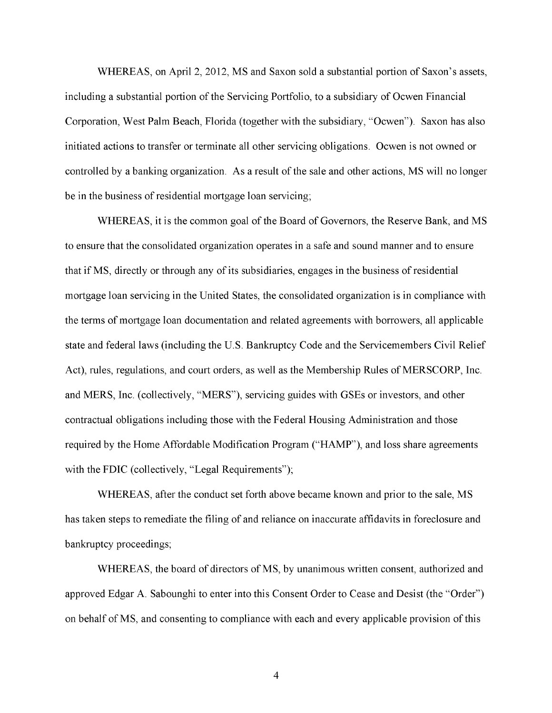WHEREAS, on April 2, 2012, MS and Saxon sold a substantial portion of Saxon's assets, including a substantial portion of the Servicing Portfolio, to a subsidiary of Ocwen Financial Corporation, West Palm Beach, Florida (together with the subsidiary, "Ocwen"). Saxon has also initiated actions to transfer or terminate all other servicing obligations. Ocwen is not owned or controlled by a banking organization. As a result of the sale and other actions, MS will no longer be in the business of residential mortgage loan servicing;

WHEREAS, it is the common goal of the Board of Governors, the Reserve Bank, and MS to ensure that the consolidated organization operates in a safe and sound manner and to ensure that if MS, directly or through any of its subsidiaries, engages in the business of residential mortgage loan servicing in the United States, the consolidated organization is in compliance with the terms of mortgage loan documentation and related agreements with borrowers, all applicable state and federal laws (including the U.S. Bankruptcy Code and the Servicemembers Civil Relief Act), rules, regulations, and court orders, as well as the Membership Rules of MERSCORP, Inc. and MERS, Inc. (collectively, "MERS"), servicing guides with GSEs or investors, and other contractual obligations including those with the Federal Housing Administration and those required by the Home Affordable Modification Program ("HAMP"), and loss share agreements with the FDIC (collectively, "Legal Requirements");

WHEREAS, after the conduct set forth above became known and prior to the sale, MS has taken steps to remediate the filing of and reliance on inaccurate affidavits in foreclosure and bankruptcy proceedings;

WHEREAS, the board of directors of MS, by unanimous written consent, authorized and approved Edgar A. Sabounghi to enter into this Consent Order to Cease and Desist (the "Order") on behalf of MS, and consenting to compliance with each and every applicable provision of this.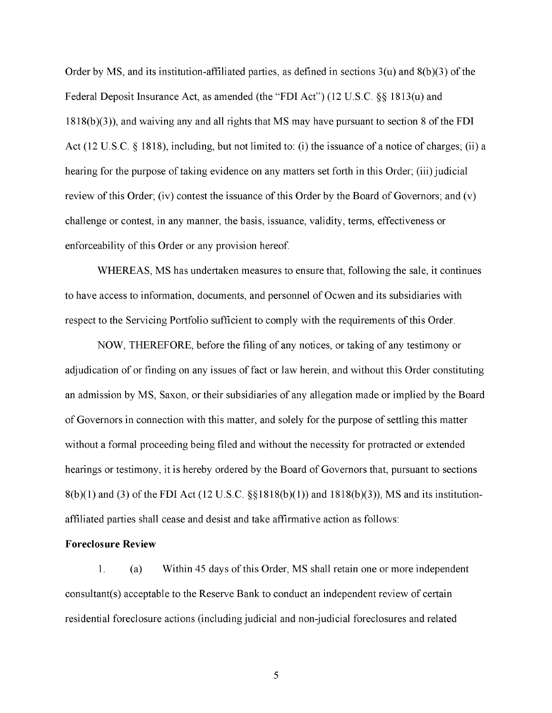Order by MS, and its institution-affiliated parties, as defined in sections  $3(u)$  and  $8(b)(3)$  of the Federal Deposit Insurance Act, as amended (the "FDI Act") (12 U.S.C. §§ 1813(u) and 1818(b)(3)), and waiving any and all rights that MS may have pursuant to section 8 of the FDI Act (12 U.S.C. § 1818), including, but not limited to: (i) the issuance of a notice of charges; (ii) a hearing for the purpose of taking evidence on any matters set forth in this Order; (iii) judicial review of this Order; (iv) contest the issuance of this Order by the Board of Governors; and (v) challenge or contest, in any manner, the basis, issuance, validity, terms, effectiveness or enforceability of this Order or any provision hereof.

WHEREAS, MS has undertaken measures to ensure that, following the sale, it continues to have access to information, documents, and personnel of Ocwen and its subsidiaries with respect to the Servicing Portfolio sufficient to comply with the requirements of this Order.

NOW, THEREFORE, before the filing of any notices, or taking of any testimony or adjudication of or finding on any issues of fact or law herein, and without this Order constituting an admission by MS, Saxon, or their subsidiaries of any allegation made or implied by the Board of Governors in connection with this matter, and solely for the purpose of settling this matter without a formal proceeding being filed and without the necessity for protracted or extended hearings or testimony, it is hereby ordered by the Board of Governors that, pursuant to sections 8(b)(1) and (3) of the FDI Act (12 U.S.C. §§1818(b)(1)) and 1818(b)(3)), MS and its institutionaffiliated parties shall cease and desist and take affirmative action as follows:

#### **Foreclosure Review**

1. (a) Within 45 days of this Order, MS shall retain one or more independent consultant(s) acceptable to the Reserve Bank to conduct an independent review of certain residential foreclosure actions (including judicial and non-judicial foreclosures and related.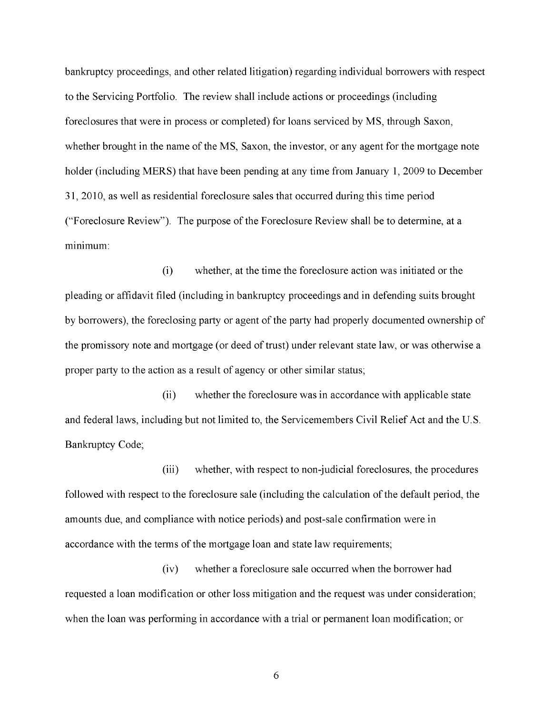bankruptcy proceedings, and other related litigation) regarding individual borrowers with respect to the Servicing Portfolio. The review shall include actions or proceedings (including foreclosures that were in process or completed) for loans serviced by MS, through Saxon, whether brought in the name of the MS, Saxon, the investor, or any agent for the mortgage note holder (including MERS) that have been pending at any time from January 1, 2009 to December 31, 2010, as well as residential foreclosure sales that occurred during this time period ("Foreclosure Review"). The purpose of the Foreclosure Review shall be to determine, at a minimum:

(i) whether, at the time the foreclosure action was initiated or the pleading or affidavit filed (including in bankruptcy proceedings and in defending suits brought by borrowers), the foreclosing party or agent of the party had properly documented ownership of the promissory note and mortgage (or deed of trust) under relevant state law, or was otherwise a proper party to the action as a result of agency or other similar status;

(ii) whether the foreclosure was in accordance with applicable state and federal laws, including but not limited to, the Servicemembers Civil Relief Act and the U.S. Bankruptcy Code;

(iii) whether, with respect to non-judicial foreclosures, the procedures followed with respect to the foreclosure sale (including the calculation of the default period, the amounts due, and compliance with notice periods) and post-sale confirmation were in accordance with the terms of the mortgage loan and state law requirements;

(iv) whether a foreclosure sale occurred when the borrower had requested a loan modification or other loss mitigation and the request was under consideration; when the loan was performing in accordance with a trial or permanent loan modification; or.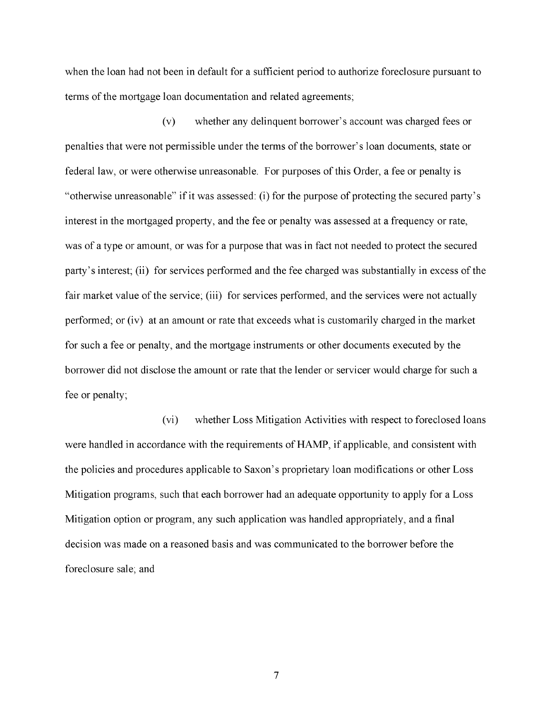when the loan had not been in default for a sufficient period to authorize foreclosure pursuant to terms of the mortgage loan documentation and related agreements;

(v) whether any delinquent borrower's account was charged fees or penalties that were not permissible under the terms of the borrower's loan documents, state or federal law, or were otherwise unreasonable. For purposes of this Order, a fee or penalty is "otherwise unreasonable" if it was assessed: (i) for the purpose of protecting the secured party's interest in the mortgaged property, and the fee or penalty was assessed at a frequency or rate, was of a type or amount, or was for a purpose that was in fact not needed to protect the secured party's interest; (ii) for services performed and the fee charged was substantially in excess of the fair market value of the service; (iii) for services performed, and the services were not actually performed; or (iv) at an amount or rate that exceeds what is customarily charged in the market for such a fee or penalty, and the mortgage instruments or other documents executed by the borrower did not disclose the amount or rate that the lender or servicer would charge for such a fee or penalty;

(vi) whether Loss Mitigation Activities with respect to foreclosed loans were handled in accordance with the requirements of HAMP, if applicable, and consistent with the policies and procedures applicable to Saxon's proprietary loan modifications or other Loss Mitigation programs, such that each borrower had an adequate opportunity to apply for a Loss Mitigation option or program, any such application was handled appropriately, and a final decision was made on a reasoned basis and was communicated to the borrower before the foreclosure sale; and.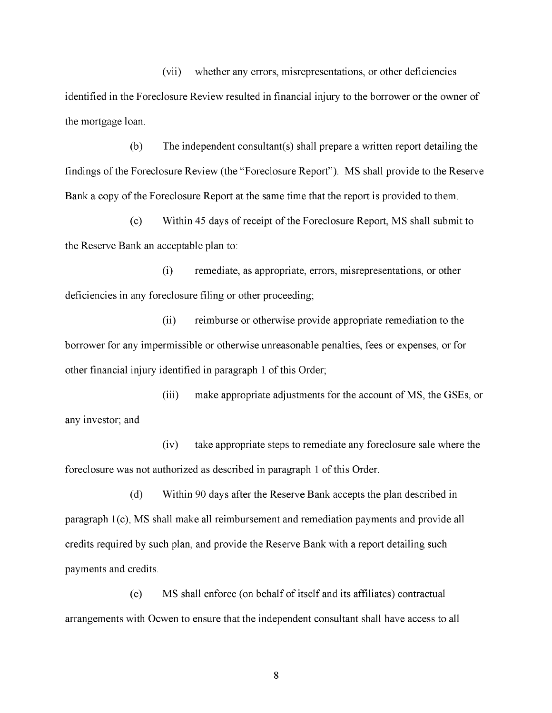(vii) whether any errors, misrepresentations, or other deficiencies identified in the Foreclosure Review resulted in financial injury to the borrower or the owner of the mortgage loan.

 $(b)$  The independent consultant(s) shall prepare a written report detailing the findings of the Foreclosure Review (the "Foreclosure Report"). MS shall provide to the Reserve Bank a copy of the Foreclosure Report at the same time that the report is provided to them.

(c) Within 45 days of receipt of the Foreclosure Report, MS shall submit to the Reserve Bank an acceptable plan to:

(i) remediate, as appropriate, errors, misrepresentations, or other deficiencies in any foreclosure filing or other proceeding;

(ii) reimburse or otherwise provide appropriate remediation to the borrower for any impermissible or otherwise unreasonable penalties, fees or expenses, or for other financial injury identified in paragraph 1 of this Order;

(iii) make appropriate adjustments for the account of MS, the GSEs, or any investor; and

(iv) take appropriate steps to remediate any foreclosure sale where the foreclosure was not authorized as described in paragraph 1 of this Order.

(d) Within 90 days after the Reserve Bank accepts the plan described in paragraph 1(c), MS shall make all reimbursement and remediation payments and provide all credits required by such plan, and provide the Reserve Bank with a report detailing such payments and credits.

(e) MS shall enforce (on behalf of itself and its affiliates) contractual arrangements with Ocwen to ensure that the independent consultant shall have access to all.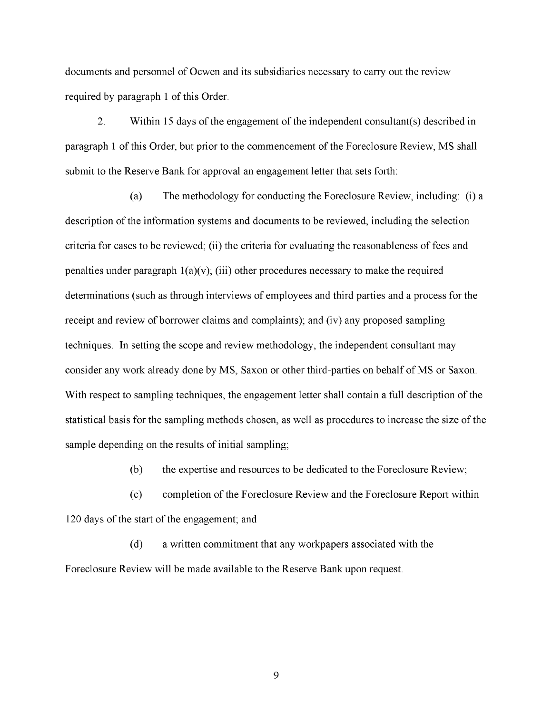documents and personnel of Ocwen and its subsidiaries necessary to carry out the review required by paragraph 1 of this Order.

2. Within 15 days of the engagement of the independent consultant(s) described in paragraph 1 of this Order, but prior to the commencement of the Foreclosure Review, MS shall submit to the Reserve Bank for approval an engagement letter that sets forth:

(a) The methodology for conducting the Foreclosure Review, including: (i) a description of the information systems and documents to be reviewed, including the selection criteria for cases to be reviewed; (ii) the criteria for evaluating the reasonableness of fees and penalties under paragraph  $1(a)(v)$ ; (iii) other procedures necessary to make the required determinations (such as through interviews of employees and third parties and a process for the receipt and review of borrower claims and complaints); and (iv) any proposed sampling techniques. In setting the scope and review methodology, the independent consultant may consider any work already done by MS, Saxon or other third-parties on behalf of MS or Saxon. With respect to sampling techniques, the engagement letter shall contain a full description of the statistical basis for the sampling methods chosen, as well as procedures to increase the size of the sample depending on the results of initial sampling;

(b) the expertise and resources to be dedicated to the Foreclosure Review;

(c) completion of the Foreclosure Review and the Foreclosure Report within 120 days of the start of the engagement; and

(d) a written commitment that any workpapers associated with the Foreclosure Review will be made available to the Reserve Bank upon request.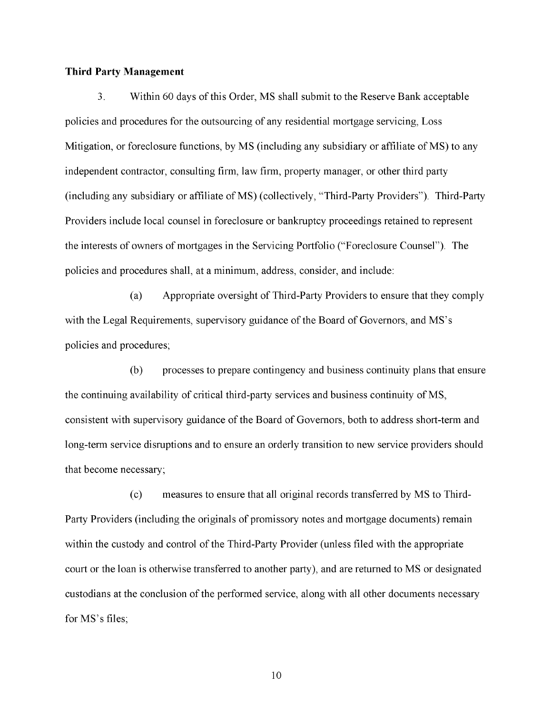#### **Third Party Management**

3. Within 60 days of this Order, MS shall submit to the Reserve Bank acceptable policies and procedures for the outsourcing of any residential mortgage servicing, Loss Mitigation, or foreclosure functions, by MS (including any subsidiary or affiliate of MS) to any independent contractor, consulting firm, law firm, property manager, or other third party (including any subsidiary or affiliate of MS) (collectively, "Third-Party Providers"). Third-Party Providers include local counsel in foreclosure or bankruptcy proceedings retained to represent the interests of owners of mortgages in the Servicing Portfolio ("Foreclosure Counsel"). The policies and procedures shall, at a minimum, address, consider, and include:

(a) Appropriate oversight of Third-Party Providers to ensure that they comply with the Legal Requirements, supervisory guidance of the Board of Governors, and MS's policies and procedures;

(b) processes to prepare contingency and business continuity plans that ensure the continuing availability of critical third-party services and business continuity of MS, consistent with supervisory guidance of the Board of Governors, both to address short-term and long-term service disruptions and to ensure an orderly transition to new service providers should that become necessary;

(c) measures to ensure that all original records transferred by MS to Third-Party Providers (including the originals of promissory notes and mortgage documents) remain within the custody and control of the Third-Party Provider (unless filed with the appropriate court or the loan is otherwise transferred to another party), and are returned to MS or designated custodians at the conclusion of the performed service, along with all other documents necessary for MS's files;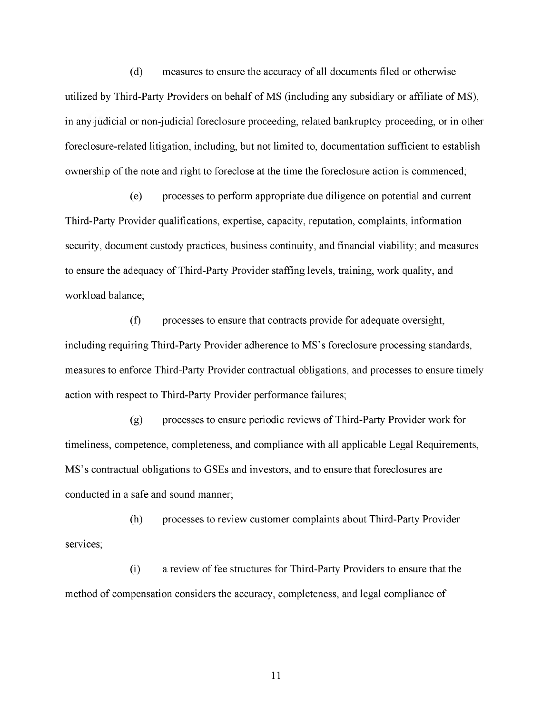(d) measures to ensure the accuracy of all documents filed or otherwise utilized by Third-Party Providers on behalf of MS (including any subsidiary or affiliate of MS), in any judicial or non-judicial foreclosure proceeding, related bankruptcy proceeding, or in other foreclosure-related litigation, including, but not limited to, documentation sufficient to establish ownership of the note and right to foreclose at the time the foreclosure action is commenced;

(e) processes to perform appropriate due diligence on potential and current Third-Party Provider qualifications, expertise, capacity, reputation, complaints, information security, document custody practices, business continuity, and financial viability; and measures to ensure the adequacy of Third-Party Provider staffing levels, training, work quality, and workload balance;

(f) processes to ensure that contracts provide for adequate oversight, including requiring Third-Party Provider adherence to MS's foreclosure processing standards, measures to enforce Third-Party Provider contractual obligations, and processes to ensure timely action with respect to Third-Party Provider performance failures;

(g) processes to ensure periodic reviews of Third-Party Provider work for timeliness, competence, completeness, and compliance with all applicable Legal Requirements, MS's contractual obligations to GSEs and investors, and to ensure that foreclosures are conducted in a safe and sound manner;

(h) processes to review customer complaints about Third-Party Provider services;

(i) a review of fee structures for Third-Party Providers to ensure that the method of compensation considers the accuracy, completeness, and legal compliance of.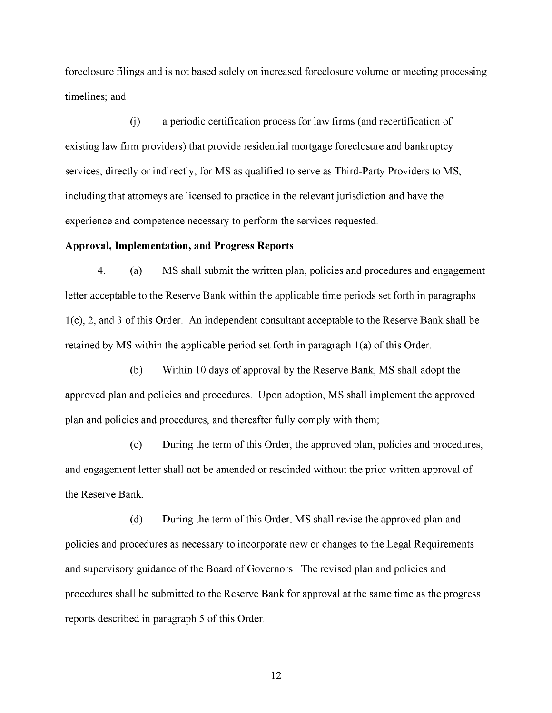foreclosure filings and is not based solely on increased foreclosure volume or meeting processing timelines; and

(j) a periodic certification process for law firms (and recertification of existing law firm providers) that provide residential mortgage foreclosure and bankruptcy services, directly or indirectly, for MS as qualified to serve as Third-Party Providers to MS, including that attorneys are licensed to practice in the relevant jurisdiction and have the experience and competence necessary to perform the services requested.

#### **Approval, Implementation, and Progress Reports**

4. (a) MS shall submit the written plan, policies and procedures and engagement letter acceptable to the Reserve Bank within the applicable time periods set forth in paragraphs 1(c), 2, and 3 of this Order. An independent consultant acceptable to the Reserve Bank shall be retained by MS within the applicable period set forth in paragraph 1(a) of this Order.

(b) Within 10 days of approval by the Reserve Bank, MS shall adopt the approved plan and policies and procedures. Upon adoption, MS shall implement the approved plan and policies and procedures, and thereafter fully comply with them;

(c) During the term of this Order, the approved plan, policies and procedures, and engagement letter shall not be amended or rescinded without the prior written approval of the Reserve Bank.

(d) During the term of this Order, MS shall revise the approved plan and policies and procedures as necessary to incorporate new or changes to the Legal Requirements and supervisory guidance of the Board of Governors. The revised plan and policies and procedures shall be submitted to the Reserve Bank for approval at the same time as the progress reports described in paragraph 5 of this Order.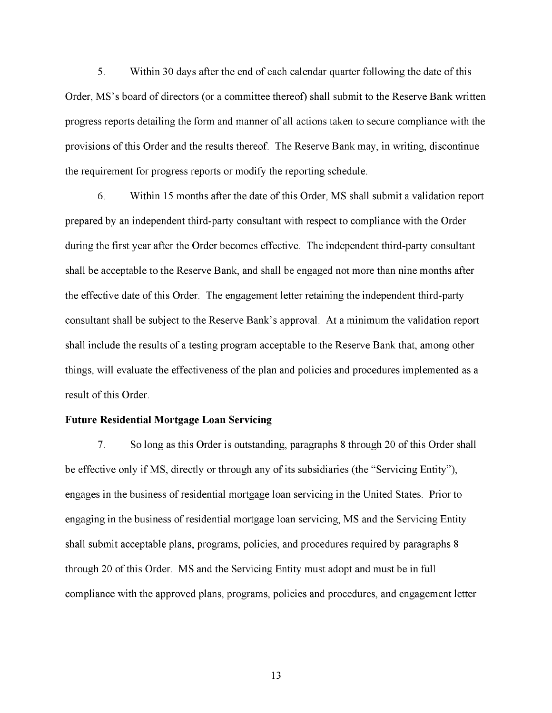5. Within 30 days after the end of each calendar quarter following the date of this Order, MS's board of directors (or a committee thereof) shall submit to the Reserve Bank written progress reports detailing the form and manner of all actions taken to secure compliance with the provisions of this Order and the results thereof. The Reserve Bank may, in writing, discontinue the requirement for progress reports or modify the reporting schedule.

6. Within 15 months after the date of this Order, MS shall submit a validation report prepared by an independent third-party consultant with respect to compliance with the Order during the first year after the Order becomes effective. The independent third-party consultant shall be acceptable to the Reserve Bank, and shall be engaged not more than nine months after the effective date of this Order. The engagement letter retaining the independent third-party consultant shall be subject to the Reserve Bank's approval. At a minimum the validation report shall include the results of a testing program acceptable to the Reserve Bank that, among other things, will evaluate the effectiveness of the plan and policies and procedures implemented as a result of this Order.

#### **Future Residential Mortgage Loan Servicing**

7. So long as this Order is outstanding, paragraphs 8 through 20 of this Order shall be effective only if MS, directly or through any of its subsidiaries (the "Servicing Entity"), engages in the business of residential mortgage loan servicing in the United States. Prior to engaging in the business of residential mortgage loan servicing, MS and the Servicing Entity shall submit acceptable plans, programs, policies, and procedures required by paragraphs 8 through 20 of this Order. MS and the Servicing Entity must adopt and must be in full compliance with the approved plans, programs, policies and procedures, and engagement letter.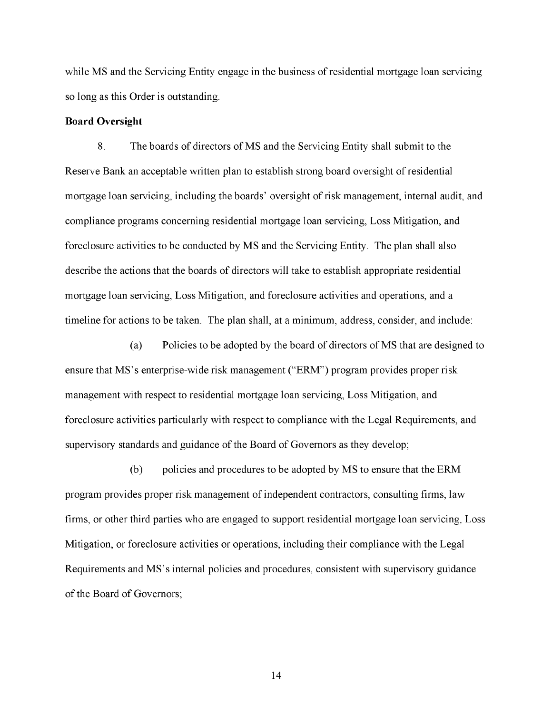while MS and the Servicing Entity engage in the business of residential mortgage loan servicing so long as this Order is outstanding.

### **Board Oversight**

8. The boards of directors of MS and the Servicing Entity shall submit to the Reserve Bank an acceptable written plan to establish strong board oversight of residential mortgage loan servicing, including the boards' oversight of risk management, internal audit, and compliance programs concerning residential mortgage loan servicing, Loss Mitigation, and foreclosure activities to be conducted by MS and the Servicing Entity. The plan shall also describe the actions that the boards of directors will take to establish appropriate residential mortgage loan servicing, Loss Mitigation, and foreclosure activities and operations, and a timeline for actions to be taken. The plan shall, at a minimum, address, consider, and include:

(a) Policies to be adopted by the board of directors of MS that are designed to ensure that MS's enterprise-wide risk management ("ERM") program provides proper risk management with respect to residential mortgage loan servicing, Loss Mitigation, and foreclosure activities particularly with respect to compliance with the Legal Requirements, and supervisory standards and guidance of the Board of Governors as they develop;

(b) policies and procedures to be adopted by MS to ensure that the ERM program provides proper risk management of independent contractors, consulting firms, law firms, or other third parties who are engaged to support residential mortgage loan servicing, Loss Mitigation, or foreclosure activities or operations, including their compliance with the Legal Requirements and MS's internal policies and procedures, consistent with supervisory guidance of the Board of Governors;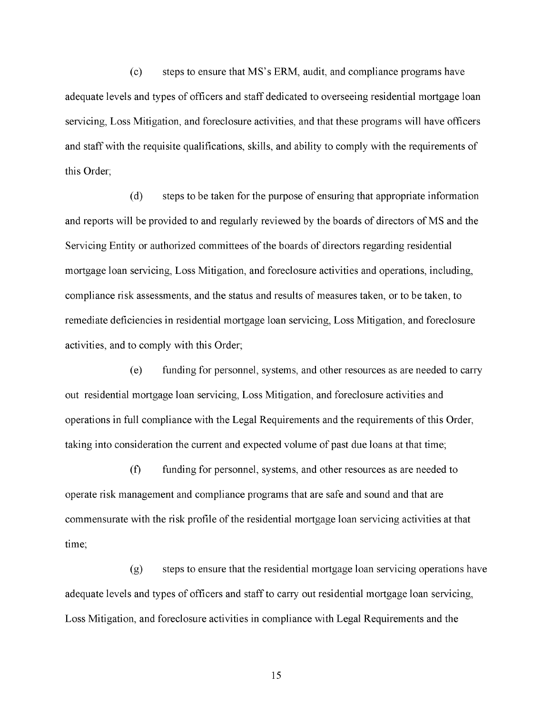$(c)$  steps to ensure that MS's ERM, audit, and compliance programs have adequate levels and types of officers and staff dedicated to overseeing residential mortgage loan servicing, Loss Mitigation, and foreclosure activities, and that these programs will have officers and staff with the requisite qualifications, skills, and ability to comply with the requirements of this Order;

(d) steps to be taken for the purpose of ensuring that appropriate information and reports will be provided to and regularly reviewed by the boards of directors of MS and the Servicing Entity or authorized committees of the boards of directors regarding residential mortgage loan servicing, Loss Mitigation, and foreclosure activities and operations, including, compliance risk assessments, and the status and results of measures taken, or to be taken, to remediate deficiencies in residential mortgage loan servicing, Loss Mitigation, and foreclosure activities, and to comply with this Order;

(e) funding for personnel, systems, and other resources as are needed to carry out residential mortgage loan servicing, Loss Mitigation, and foreclosure activities and operations in full compliance with the Legal Requirements and the requirements of this Order, taking into consideration the current and expected volume of past due loans at that time;

(f) funding for personnel, systems, and other resources as are needed to operate risk management and compliance programs that are safe and sound and that are commensurate with the risk profile of the residential mortgage loan servicing activities at that time;

(g) steps to ensure that the residential mortgage loan servicing operations have adequate levels and types of officers and staff to carry out residential mortgage loan servicing, Loss Mitigation, and foreclosure activities in compliance with Legal Requirements and the.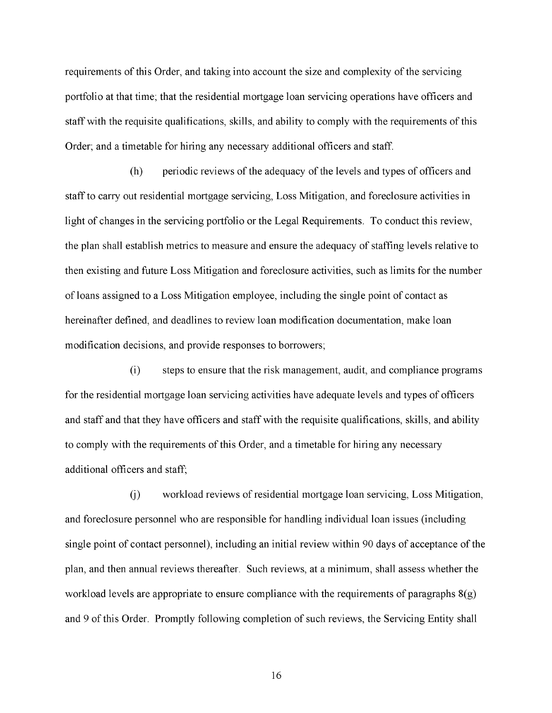requirements of this Order, and taking into account the size and complexity of the servicing portfolio at that time; that the residential mortgage loan servicing operations have officers and staff with the requisite qualifications, skills, and ability to comply with the requirements of this Order; and a timetable for hiring any necessary additional officers and staff.

(h) periodic reviews of the adequacy of the levels and types of officers and staff to carry out residential mortgage servicing, Loss Mitigation, and foreclosure activities in light of changes in the servicing portfolio or the Legal Requirements. To conduct this review, the plan shall establish metrics to measure and ensure the adequacy of staffing levels relative to then existing and future Loss Mitigation and foreclosure activities, such as limits for the number of loans assigned to a Loss Mitigation employee, including the single point of contact as hereinafter defined, and deadlines to review loan modification documentation, make loan modification decisions, and provide responses to borrowers;

(i) steps to ensure that the risk management, audit, and compliance programs for the residential mortgage loan servicing activities have adequate levels and types of officers and staff and that they have officers and staff with the requisite qualifications, skills, and ability to comply with the requirements of this Order, and a timetable for hiring any necessary additional officers and staff;

(j) workload reviews of residential mortgage loan servicing, Loss Mitigation, and foreclosure personnel who are responsible for handling individual loan issues (including single point of contact personnel), including an initial review within 90 days of acceptance of the plan, and then annual reviews thereafter. Such reviews, at a minimum, shall assess whether the workload levels are appropriate to ensure compliance with the requirements of paragraphs 8(g) and 9 of this Order. Promptly following completion of such reviews, the Servicing Entity shall.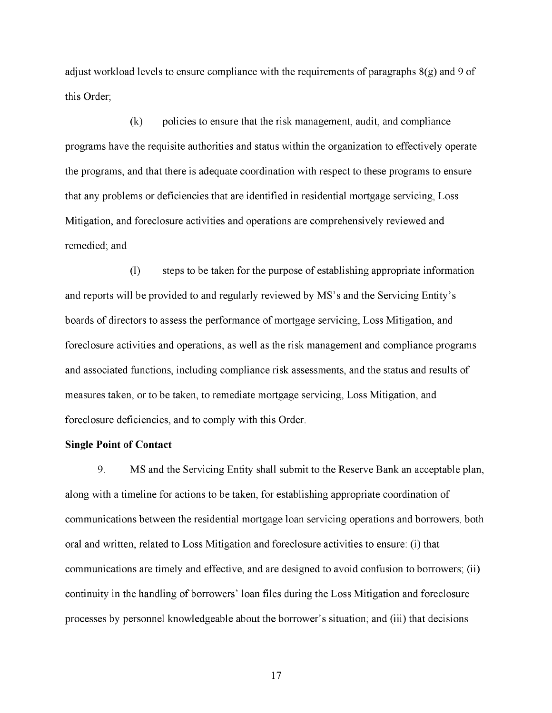adjust workload levels to ensure compliance with the requirements of paragraphs 8(g) and 9 of this Order;

(k) policies to ensure that the risk management, audit, and compliance programs have the requisite authorities and status within the organization to effectively operate the programs, and that there is adequate coordination with respect to these programs to ensure that any problems or deficiencies that are identified in residential mortgage servicing, Loss Mitigation, and foreclosure activities and operations are comprehensively reviewed and remedied; and

(1) steps to be taken for the purpose of establishing appropriate information and reports will be provided to and regularly reviewed by MS's and the Servicing Entity's boards of directors to assess the performance of mortgage servicing, Loss Mitigation, and foreclosure activities and operations, as well as the risk management and compliance programs and associated functions, including compliance risk assessments, and the status and results of measures taken, or to be taken, to remediate mortgage servicing, Loss Mitigation, and foreclosure deficiencies, and to comply with this Order.

#### **Single Point of Contact**

9. MS and the Servicing Entity shall submit to the Reserve Bank an acceptable plan, along with a timeline for actions to be taken, for establishing appropriate coordination of communications between the residential mortgage loan servicing operations and borrowers, both oral and written, related to Loss Mitigation and foreclosure activities to ensure: (i) that communications are timely and effective, and are designed to avoid confusion to borrowers; (ii) continuity in the handling of borrowers' loan files during the Loss Mitigation and foreclosure processes by personnel knowledgeable about the borrower's situation; and (iii) that decisions.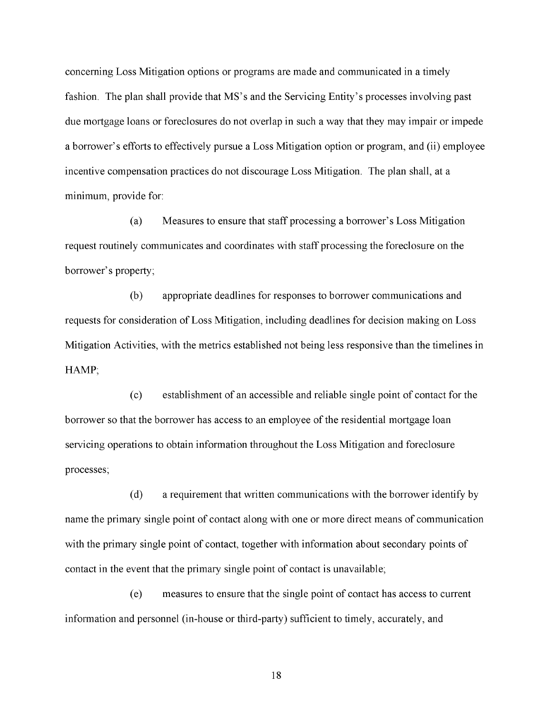concerning Loss Mitigation options or programs are made and communicated in a timely fashion. The plan shall provide that MS's and the Servicing Entity's processes involving past due mortgage loans or foreclosures do not overlap in such a way that they may impair or impede a borrower's efforts to effectively pursue a Loss Mitigation option or program, and (ii) employee incentive compensation practices do not discourage Loss Mitigation. The plan shall, at a minimum, provide for:

(a) Measures to ensure that staff processing a borrower's Loss Mitigation request routinely communicates and coordinates with staff processing the foreclosure on the borrower's property;

(b) appropriate deadlines for responses to borrower communications and requests for consideration of Loss Mitigation, including deadlines for decision making on Loss Mitigation Activities, with the metrics established not being less responsive than the timelines in HAMP;

(c) establishment of an accessible and reliable single point of contact for the borrower so that the borrower has access to an employee of the residential mortgage loan servicing operations to obtain information throughout the Loss Mitigation and foreclosure processes;

(d) a requirement that written communications with the borrower identify by name the primary single point of contact along with one or more direct means of communication with the primary single point of contact, together with information about secondary points of contact in the event that the primary single point of contact is unavailable;

(e) measures to ensure that the single point of contact has access to current information and personnel (in-house or third-party) sufficient to timely, accurately, and.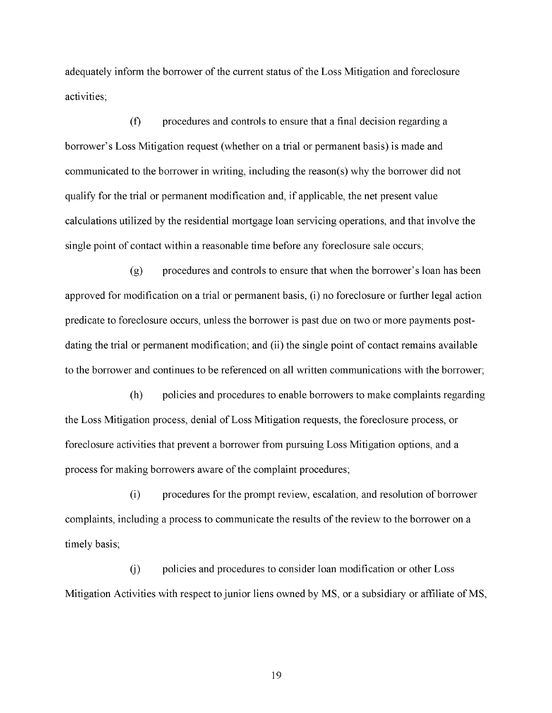adequately inform the borrower of the current status of the Loss Mitigation and foreclosure activities;

(f) procedures and controls to ensure that a final decision regarding a borrower's Loss Mitigation request (whether on a trial or permanent basis) is made and communicated to the borrower in writing, including the reason(s) why the borrower did not qualify for the trial or permanent modification and, if applicable, the net present value calculations utilized by the residential mortgage loan servicing operations, and that involve the single point of contact within a reasonable time before any foreclosure sale occurs;

(g) procedures and controls to ensure that when the borrower's loan has been approved for modification on a trial or permanent basis, (i) no foreclosure or further legal action predicate to foreclosure occurs, unless the borrower is past due on two or more payments postdating the trial or permanent modification; and (ii) the single point of contact remains available to the borrower and continues to be referenced on all written communications with the borrower;

(h) policies and procedures to enable borrowers to make complaints regarding the Loss Mitigation process, denial of Loss Mitigation requests, the foreclosure process, or foreclosure activities that prevent a borrower from pursuing Loss Mitigation options, and a process for making borrowers aware of the complaint procedures;

(i) procedures for the prompt review, escalation, and resolution of borrower complaints, including a process to communicate the results of the review to the borrower on a timely basis;

(j) policies and procedures to consider loan modification or other Loss Mitigation Activities with respect to junior liens owned by MS, or a subsidiary or affiliate of MS,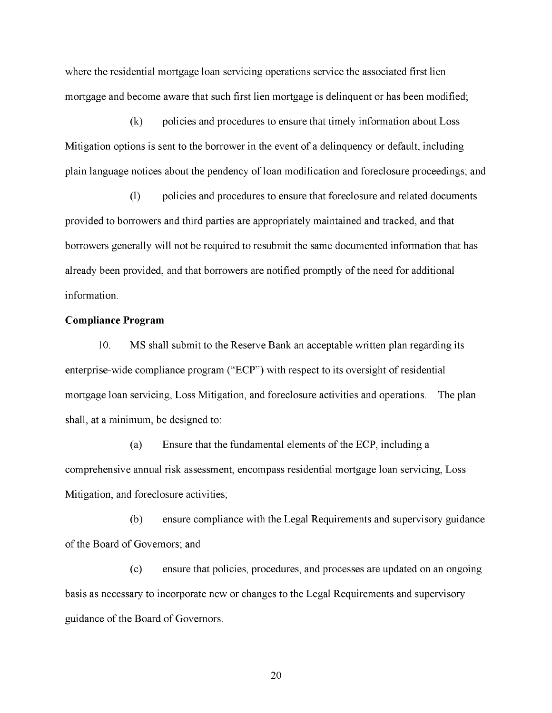where the residential mortgage loan servicing operations service the associated first lien mortgage and become aware that such first lien mortgage is delinquent or has been modified;

(k) policies and procedures to ensure that timely information about Loss Mitigation options is sent to the borrower in the event of a delinquency or default, including plain language notices about the pendency of loan modification and foreclosure proceedings; and

(1) policies and procedures to ensure that foreclosure and related documents provided to borrowers and third parties are appropriately maintained and tracked, and that borrowers generally will not be required to resubmit the same documented information that has already been provided, and that borrowers are notified promptly of the need for additional information.

## **Compliance Program**

10. MS shall submit to the Reserve Bank an acceptable written plan regarding its enterprise-wide compliance program ("ECP") with respect to its oversight of residential mortgage loan servicing, Loss Mitigation, and foreclosure activities and operations. The plan shall, at a minimum, be designed to:

(a) Ensure that the fundamental elements of the ECP, including a comprehensive annual risk assessment, encompass residential mortgage loan servicing, Loss Mitigation, and foreclosure activities;

(b) ensure compliance with the Legal Requirements and supervisory guidance of the Board of Governors; and

(c) ensure that policies, procedures, and processes are updated on an ongoing basis as necessary to incorporate new or changes to the Legal Requirements and supervisory guidance of the Board of Governors.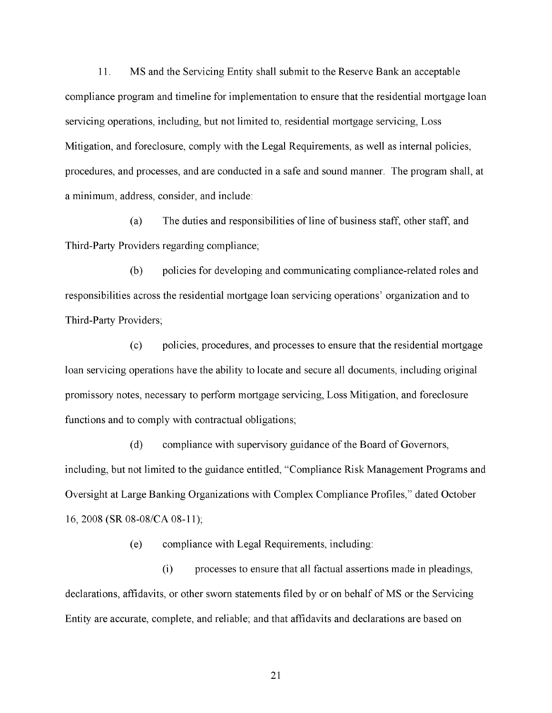11. MS and the Servicing Entity shall submit to the Reserve Bank an acceptable compliance program and timeline for implementation to ensure that the residential mortgage loan servicing operations, including, but not limited to, residential mortgage servicing, Loss Mitigation, and foreclosure, comply with the Legal Requirements, as well as internal policies, procedures, and processes, and are conducted in a safe and sound manner. The program shall, at a minimum, address, consider, and include:

(a) The duties and responsibilities of line of business staff, other staff, and Third-Party Providers regarding compliance;

(b) policies for developing and communicating compliance-related roles and responsibilities across the residential mortgage loan servicing operations' organization and to Third-Party Providers;

(c) policies, procedures, and processes to ensure that the residential mortgage loan servicing operations have the ability to locate and secure all documents, including original promissory notes, necessary to perform mortgage servicing, Loss Mitigation, and foreclosure functions and to comply with contractual obligations;

(d) compliance with supervisory guidance of the Board of Governors, including, but not limited to the guidance entitled, "Compliance Risk Management Programs and Oversight at Large Banking Organizations with Complex Compliance Profiles," dated October 16, 2008 (SR 08-08/CA 08-11);

(e) compliance with Legal Requirements, including:

(i) processes to ensure that all factual assertions made in pleadings, declarations, affidavits, or other sworn statements filed by or on behalf of MS or the Servicing Entity are accurate, complete, and reliable; and that affidavits and declarations are based on.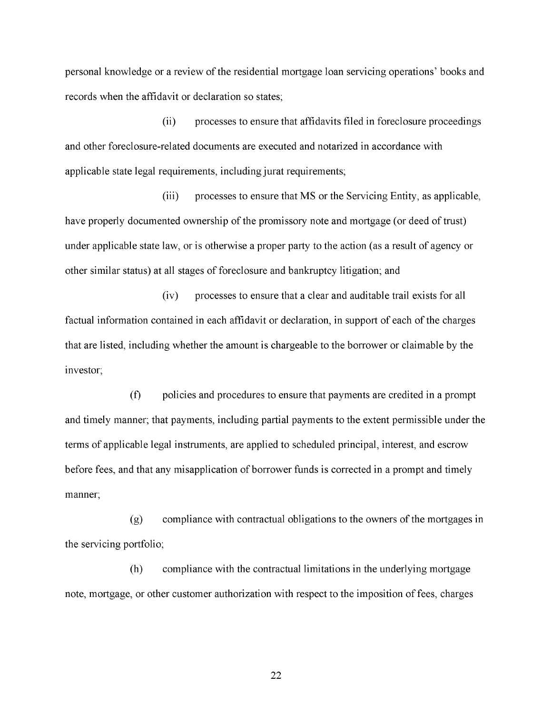personal knowledge or a review of the residential mortgage loan servicing operations' books and records when the affidavit or declaration so states;

(ii) processes to ensure that affidavits filed in foreclosure proceedings and other foreclosure-related documents are executed and notarized in accordance with applicable state legal requirements, including jurat requirements;

(iii) processes to ensure that MS or the Servicing Entity, as applicable, have properly documented ownership of the promissory note and mortgage (or deed of trust) under applicable state law, or is otherwise a proper party to the action (as a result of agency or other similar status) at all stages of foreclosure and bankruptcy litigation; and

(iv) processes to ensure that a clear and auditable trail exists for all factual information contained in each affidavit or declaration, in support of each of the charges that are listed, including whether the amount is chargeable to the borrower or claimable by the investor;

(f) policies and procedures to ensure that payments are credited in a prompt and timely manner; that payments, including partial payments to the extent permissible under the terms of applicable legal instruments, are applied to scheduled principal, interest, and escrow before fees, and that any misapplication of borrower funds is corrected in a prompt and timely manner;

(g) compliance with contractual obligations to the owners of the mortgages in the servicing portfolio;

(h) compliance with the contractual limitations in the underlying mortgage note, mortgage, or other customer authorization with respect to the imposition of fees, charges.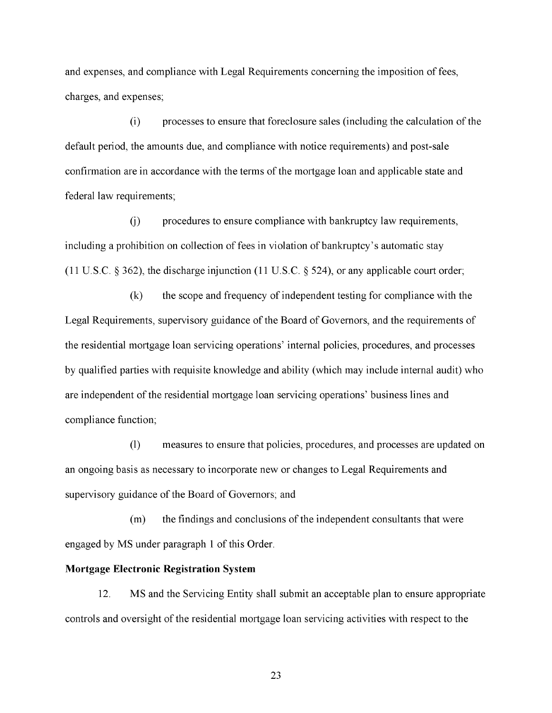and expenses, and compliance with Legal Requirements concerning the imposition of fees, charges, and expenses;

(i) processes to ensure that foreclosure sales (including the calculation of the default period, the amounts due, and compliance with notice requirements) and post-sale confirmation are in accordance with the terms of the mortgage loan and applicable state and federal law requirements;

(j) procedures to ensure compliance with bankruptcy law requirements, including a prohibition on collection of fees in violation of bankruptcy's automatic stay (11 U.S.C. § 362), the discharge injunction (11 U.S.C. § 524), or any applicable court order;

(k) the scope and frequency of independent testing for compliance with the Legal Requirements, supervisory guidance of the Board of Governors, and the requirements of the residential mortgage loan servicing operations' internal policies, procedures, and processes by qualified parties with requisite knowledge and ability (which may include internal audit) who are independent of the residential mortgage loan servicing operations' business lines and compliance function;

(1) measures to ensure that policies, procedures, and processes are updated on an ongoing basis as necessary to incorporate new or changes to Legal Requirements and supervisory guidance of the Board of Governors; and

(m) the findings and conclusions of the independent consultants that were engaged by MS under paragraph 1 of this Order.

## **Mortgage Electronic Registration System**

12. MS and the Servicing Entity shall submit an acceptable plan to ensure appropriate controls and oversight of the residential mortgage loan servicing activities with respect to the.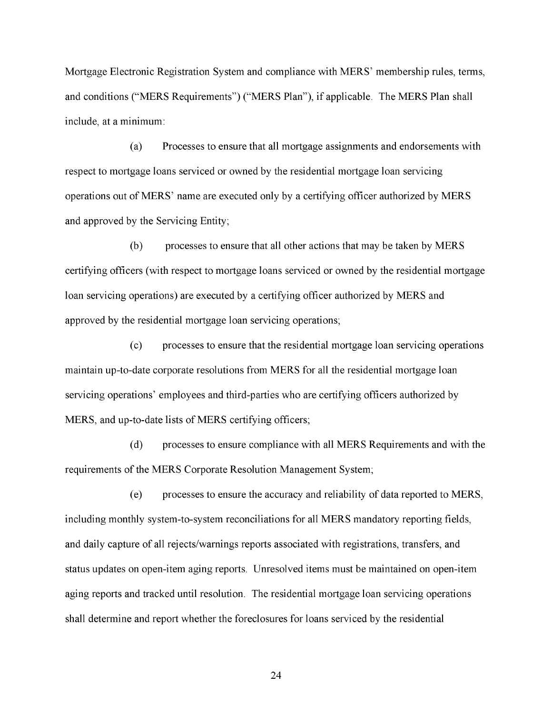Mortgage Electronic Registration System and compliance with MERS' membership rules, terms, and conditions ("MERS Requirements") ("MERS Plan"), if applicable. The MERS Plan shall include, at a minimum:

(a) Processes to ensure that all mortgage assignments and endorsements with respect to mortgage loans serviced or owned by the residential mortgage loan servicing operations out of MERS' name are executed only by a certifying officer authorized by MERS and approved by the Servicing Entity;

(b) processes to ensure that all other actions that may be taken by MERS certifying officers (with respect to mortgage loans serviced or owned by the residential mortgage loan servicing operations) are executed by a certifying officer authorized by MERS and approved by the residential mortgage loan servicing operations;

(c) processes to ensure that the residential mortgage loan servicing operations maintain up-to-date corporate resolutions from MERS for all the residential mortgage loan servicing operations' employees and third-parties who are certifying officers authorized by MERS, and up-to-date lists of MERS certifying officers;

(d) processes to ensure compliance with all MERS Requirements and with the requirements of the MERS Corporate Resolution Management System;

(e) processes to ensure the accuracy and reliability of data reported to MERS, including monthly system-to-system reconciliations for all MERS mandatory reporting fields, and daily capture of all rejects/warnings reports associated with registrations, transfers, and status updates on open-item aging reports. Unresolved items must be maintained on open-item aging reports and tracked until resolution. The residential mortgage loan servicing operations shall determine and report whether the foreclosures for loans serviced by the residential.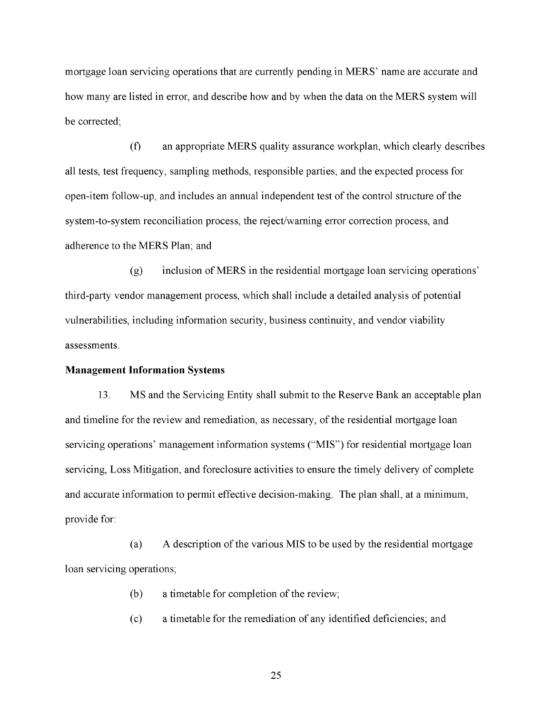mortgage loan servicing operations that are currently pending in MERS' name are accurate and how many are listed in error, and describe how and by when the data on the MERS system will be corrected;

(f) an appropriate MERS quality assurance workplan, which clearly describes all tests, test frequency, sampling methods, responsible parties, and the expected process for open-item follow-up, and includes an annual independent test of the control structure of the system-to-system reconciliation process, the reject/warning error correction process, and adherence to the MERS Plan; and

(g) inclusion of MERS in the residential mortgage loan servicing operations' third-party vendor management process, which shall include a detailed analysis of potential vulnerabilities, including information security, business continuity, and vendor viability assessments.

#### **Management Information Systems**

13. MS and the Servicing Entity shall submit to the Reserve Bank an acceptable plan and timeline for the review and remediation, as necessary, of the residential mortgage loan servicing operations' management information systems ("MIS") for residential mortgage loan servicing, Loss Mitigation, and foreclosure activities to ensure the timely delivery of complete and accurate information to permit effective decision-making. The plan shall, at a minimum, provide for:

(a) A description of the various MIS to be used by the residential mortgage loan servicing operations;

- (b) a timetable for completion of the review;
- (c) a timetable for the remediation of any identified deficiencies; and.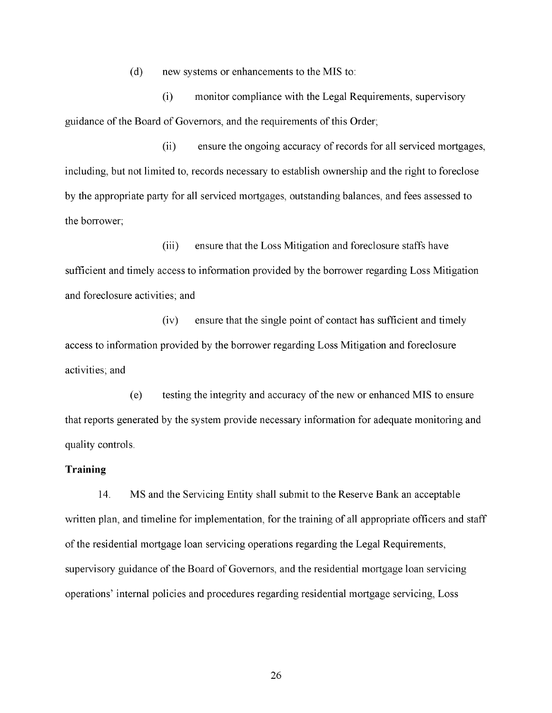(d) new systems or enhancements to the MIS to:

(i) monitor compliance with the Legal Requirements, supervisory guidance of the Board of Governors, and the requirements of this Order;

(ii) ensure the ongoing accuracy of records for all serviced mortgages, including, but not limited to, records necessary to establish ownership and the right to foreclose by the appropriate party for all serviced mortgages, outstanding balances, and fees assessed to the borrower;

(iii) ensure that the Loss Mitigation and foreclosure staffs have sufficient and timely access to information provided by the borrower regarding Loss Mitigation and foreclosure activities; and

(iv) ensure that the single point of contact has sufficient and timely access to information provided by the borrower regarding Loss Mitigation and foreclosure activities; and

(e) testing the integrity and accuracy of the new or enhanced MIS to ensure that reports generated by the system provide necessary information for adequate monitoring and quality controls.

## **Training**

14. MS and the Servicing Entity shall submit to the Reserve Bank an acceptable written plan, and timeline for implementation, for the training of all appropriate officers and staff of the residential mortgage loan servicing operations regarding the Legal Requirements, supervisory guidance of the Board of Governors, and the residential mortgage loan servicing operations' internal policies and procedures regarding residential mortgage servicing, Loss.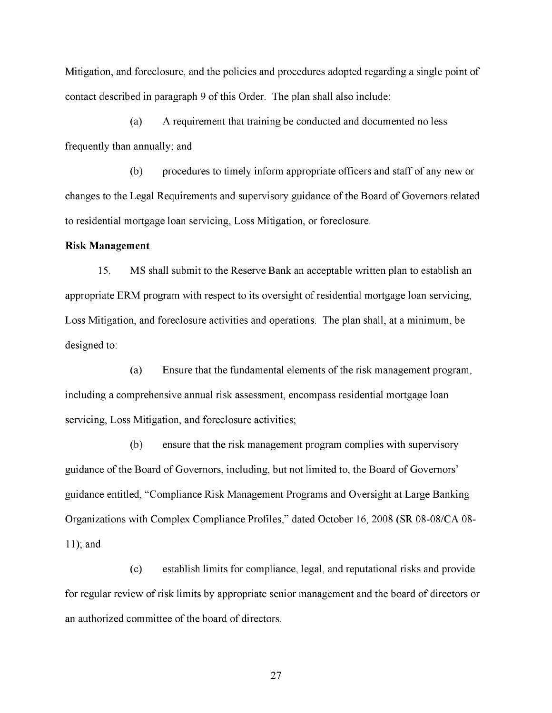Mitigation, and foreclosure, and the policies and procedures adopted regarding a single point of contact described in paragraph 9 of this Order. The plan shall also include:

(a) A requirement that training be conducted and documented no less frequently than annually; and

(b) procedures to timely inform appropriate officers and staff of any new or changes to the Legal Requirements and supervisory guidance of the Board of Governors related to residential mortgage loan servicing, Loss Mitigation, or foreclosure.

#### **Risk Management**

15. MS shall submit to the Reserve Bank an acceptable written plan to establish an appropriate ERM program with respect to its oversight of residential mortgage loan servicing, Loss Mitigation, and foreclosure activities and operations. The plan shall, at a minimum, be designed to:

(a) Ensure that the fundamental elements of the risk management program, including a comprehensive annual risk assessment, encompass residential mortgage loan servicing, Loss Mitigation, and foreclosure activities;

(b) ensure that the risk management program complies with supervisory guidance of the Board of Governors, including, but not limited to, the Board of Governors' guidance entitled, "Compliance Risk Management Programs and Oversight at Large Banking Organizations with Complex Compliance Profiles," dated October 16, 2008 (SR 08-08/CA 08 11); and

(c) establish limits for compliance, legal, and reputational risks and provide for regular review of risk limits by appropriate senior management and the board of directors or an authorized committee of the board of directors.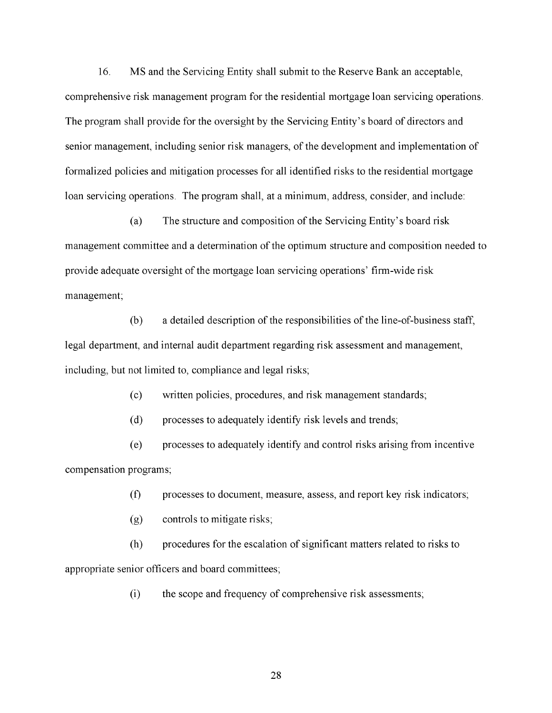16. MS and the Servicing Entity shall submit to the Reserve Bank an acceptable, comprehensive risk management program for the residential mortgage loan servicing operations. The program shall provide for the oversight by the Servicing Entity's board of directors and senior management, including senior risk managers, of the development and implementation of formalized policies and mitigation processes for all identified risks to the residential mortgage loan servicing operations. The program shall, at a minimum, address, consider, and include:

(a) The structure and composition of the Servicing Entity's board risk management committee and a determination of the optimum structure and composition needed to provide adequate oversight of the mortgage loan servicing operations' firm-wide risk management;

(b) a detailed description of the responsibilities of the line-of-business staff, legal department, and internal audit department regarding risk assessment and management, including, but not limited to, compliance and legal risks;

(c) written policies, procedures, and risk management standards;

(d) processes to adequately identify risk levels and trends;

(e) processes to adequately identify and control risks arising from incentive compensation programs;

(f) processes to document, measure, assess, and report key risk indicators;

(g) controls to mitigate risks;

(h) procedures for the escalation of significant matters related to risks to appropriate senior officers and board committees;

 $(i)$  the scope and frequency of comprehensive risk assessments;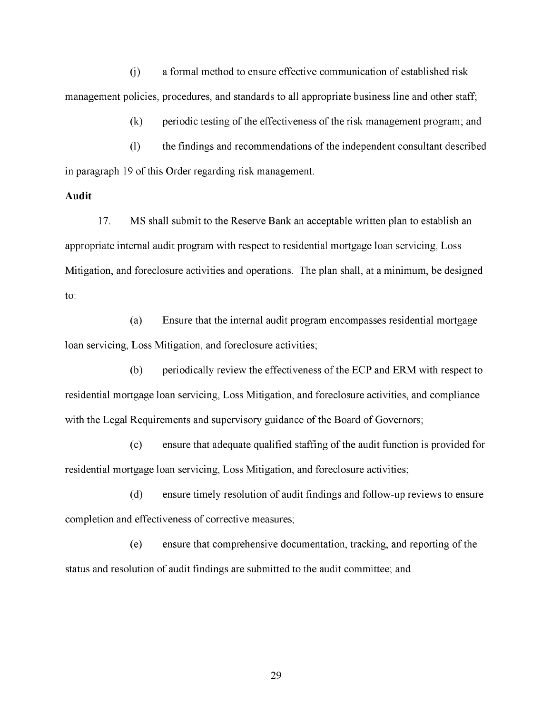(j) a formal method to ensure effective communication of established risk management policies, procedures, and standards to all appropriate business line and other staff;

(k) periodic testing of the effectiveness of the risk management program; and

(1) the findings and recommendations of the independent consultant described in paragraph 19 of this Order regarding risk management.

## **Audit**

17. MS shall submit to the Reserve Bank an acceptable written plan to establish an appropriate internal audit program with respect to residential mortgage loan servicing, Loss Mitigation, and foreclosure activities and operations. The plan shall, at a minimum, be designed to:

(a) Ensure that the internal audit program encompasses residential mortgage loan servicing, Loss Mitigation, and foreclosure activities;

(b) periodically review the effectiveness of the ECP and ERM with respect to residential mortgage loan servicing, Loss Mitigation, and foreclosure activities, and compliance with the Legal Requirements and supervisory guidance of the Board of Governors;

(c) ensure that adequate qualified staffing of the audit function is provided for residential mortgage loan servicing, Loss Mitigation, and foreclosure activities;

(d) ensure timely resolution of audit findings and follow-up reviews to ensure completion and effectiveness of corrective measures;

(e) ensure that comprehensive documentation, tracking, and reporting of the status and resolution of audit findings are submitted to the audit committee; and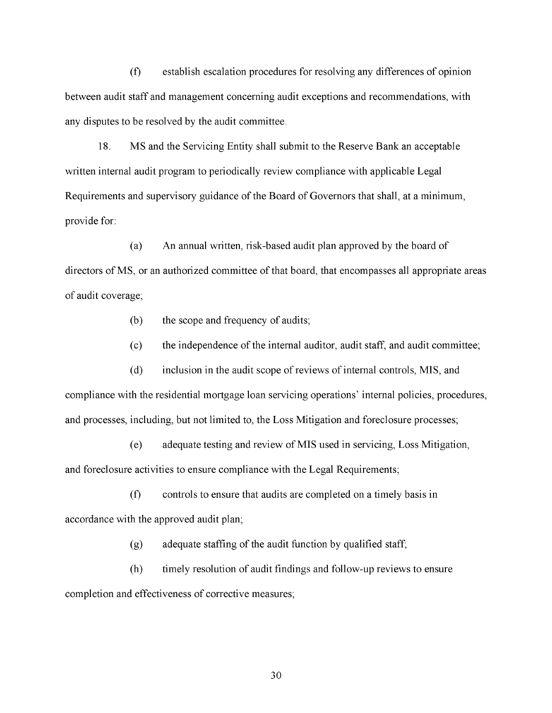(f) establish escalation procedures for resolving any differences of opinion between audit staff and management concerning audit exceptions and recommendations, with any disputes to be resolved by the audit committee.

18. MS and the Servicing Entity shall submit to the Reserve Bank an acceptable written internal audit program to periodically review compliance with applicable Legal Requirements and supervisory guidance of the Board of Governors that shall, at a minimum, provide for:

(a) An annual written, risk-based audit plan approved by the board of directors of MS, or an authorized committee of that board, that encompasses all appropriate areas of audit coverage;

- (b) the scope and frequency of audits;
- (c) the independence of the internal auditor, audit staff, and audit committee;

(d) inclusion in the audit scope of reviews of internal controls, MIS, and compliance with the residential mortgage loan servicing operations' internal policies, procedures, and processes, including, but not limited to, the Loss Mitigation and foreclosure processes;

(e) adequate testing and review of MIS used in servicing, Loss Mitigation, and foreclosure activities to ensure compliance with the Legal Requirements;

(f) controls to ensure that audits are completed on a timely basis in accordance with the approved audit plan;

(g) adequate staffing of the audit function by qualified staff;

(h) timely resolution of audit findings and follow-up reviews to ensure completion and effectiveness of corrective measures;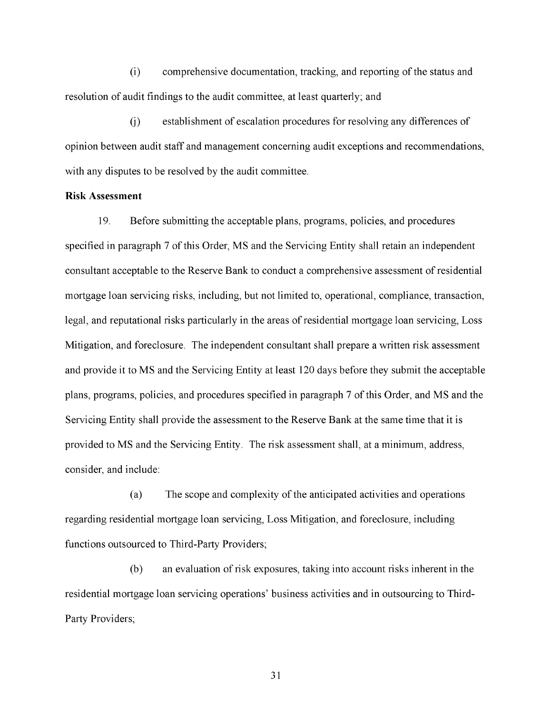(i) comprehensive documentation, tracking, and reporting of the status and resolution of audit findings to the audit committee, at least quarterly; and

(j) establishment of escalation procedures for resolving any differences of opinion between audit staff and management concerning audit exceptions and recommendations, with any disputes to be resolved by the audit committee.

#### **Risk Assessment**

19. Before submitting the acceptable plans, programs, policies, and procedures specified in paragraph 7 of this Order, MS and the Servicing Entity shall retain an independent consultant acceptable to the Reserve Bank to conduct a comprehensive assessment of residential mortgage loan servicing risks, including, but not limited to, operational, compliance, transaction, legal, and reputational risks particularly in the areas of residential mortgage loan servicing, Loss Mitigation, and foreclosure. The independent consultant shall prepare a written risk assessment and provide it to MS and the Servicing Entity at least 120 days before they submit the acceptable plans, programs, policies, and procedures specified in paragraph 7 of this Order, and MS and the Servicing Entity shall provide the assessment to the Reserve Bank at the same time that it is provided to MS and the Servicing Entity. The risk assessment shall, at a minimum, address, consider, and include:

(a) The scope and complexity of the anticipated activities and operations regarding residential mortgage loan servicing, Loss Mitigation, and foreclosure, including functions outsourced to Third-Party Providers;

(b) an evaluation of risk exposures, taking into account risks inherent in the residential mortgage loan servicing operations' business activities and in outsourcing to Third-Party Providers;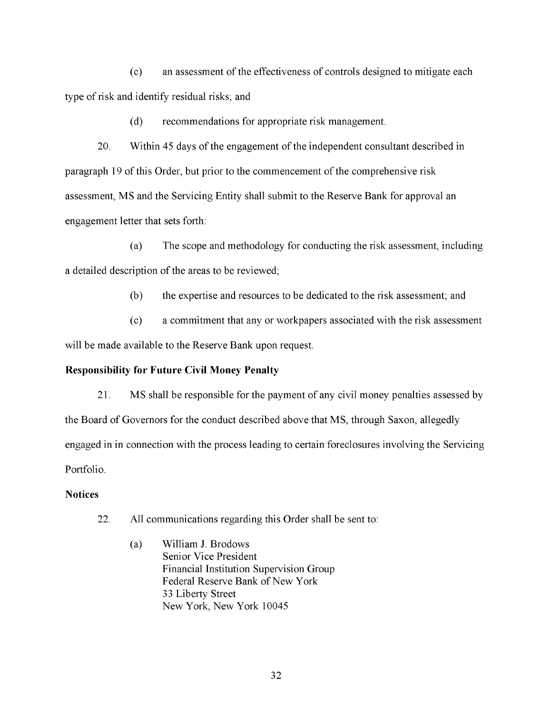(c) an assessment of the effectiveness of controls designed to mitigate each type of risk and identify residual risks; and

(d) recommendations for appropriate risk management.

20. Within 45 days of the engagement of the independent consultant described in paragraph 19 of this Order, but prior to the commencement of the comprehensive risk assessment, MS and the Servicing Entity shall submit to the Reserve Bank for approval an engagement letter that sets forth:

(a) The scope and methodology for conducting the risk assessment, including a detailed description of the areas to be reviewed;

(b) the expertise and resources to be dedicated to the risk assessment; and

(c) a commitment that any or workpapers associated with the risk assessment will be made available to the Reserve Bank upon request.

## **Responsibility for Future Civil Money Penalty**

21. MS shall be responsible for the payment of any civil money penalties assessed by the Board of Governors for the conduct described above that MS, through Saxon, allegedly engaged in in connection with the process leading to certain foreclosures involving the Servicing Portfolio.

### **Notices**

- 22. All communications regarding this Order shall be sent to:
	- (a) William J. Brodows. Senior Vice President. Financial Institution Supervision Group. Federal Reserve Bank of New York. 33 Liberty Street. New York, New York 10045.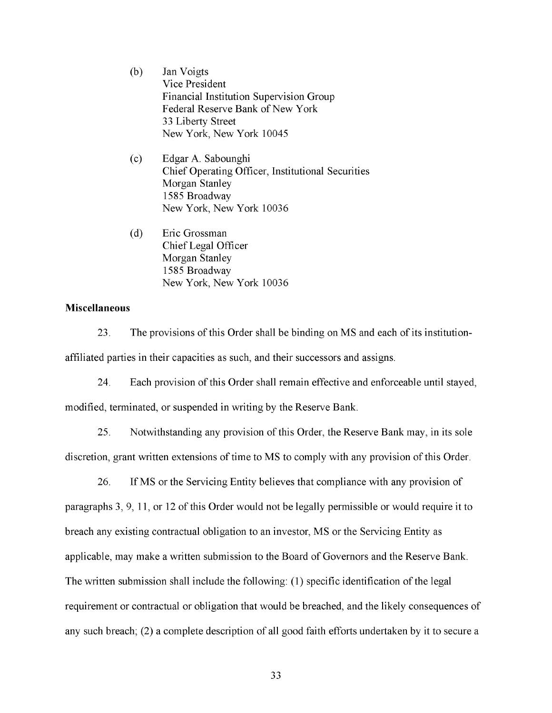- (b) Jan Voigts. Vice President. Financial Institution Supervision Group. Federal Reserve Bank of New York. 33 Liberty Street. New York, New York 10045.
- (c) Edgar A. Sabounghi. Chief Operating Officer, Institutional Securities. Morgan Stanley. 1585 Broadway. New York, New York 10036.
- (d) Eric Grossman. Chief Legal Officer. Morgan Stanley. 1585 Broadway. New York, New York 10036.

## **Miscellaneous**

23. The provisions of this Order shall be binding on MS and each of its institutionaffiliated parties in their capacities as such, and their successors and assigns.

24. Each provision of this Order shall remain effective and enforceable until stayed, modified, terminated, or suspended in writing by the Reserve Bank.

25. Notwithstanding any provision of this Order, the Reserve Bank may, in its sole discretion, grant written extensions of time to MS to comply with any provision of this Order.

26. If MS or the Servicing Entity believes that compliance with any provision of paragraphs 3, 9, 11, or 12 of this Order would not be legally permissible or would require it to breach any existing contractual obligation to an investor, MS or the Servicing Entity as applicable, may make a written submission to the Board of Governors and the Reserve Bank. The written submission shall include the following: (1) specific identification of the legal requirement or contractual or obligation that would be breached, and the likely consequences of any such breach; (2) a complete description of all good faith efforts undertaken by it to secure a.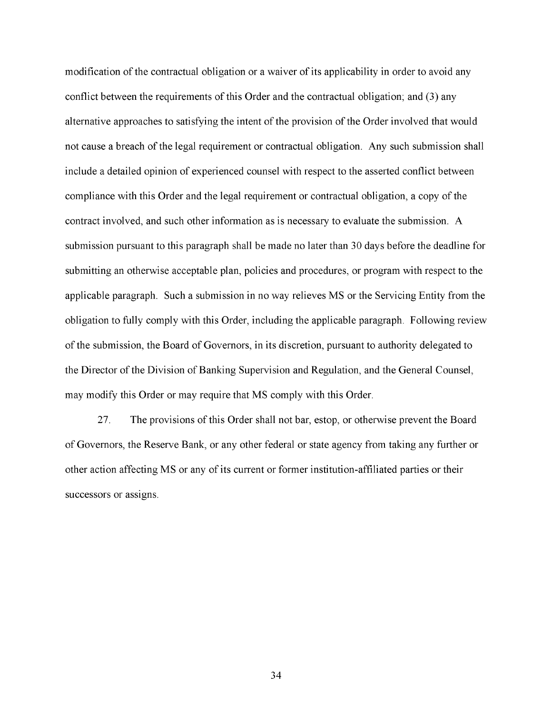modification of the contractual obligation or a waiver of its applicability in order to avoid any conflict between the requirements of this Order and the contractual obligation; and (3) any alternative approaches to satisfying the intent of the provision of the Order involved that would not cause a breach of the legal requirement or contractual obligation. Any such submission shall include a detailed opinion of experienced counsel with respect to the asserted conflict between compliance with this Order and the legal requirement or contractual obligation, a copy of the contract involved, and such other information as is necessary to evaluate the submission. A submission pursuant to this paragraph shall be made no later than 30 days before the deadline for submitting an otherwise acceptable plan, policies and procedures, or program with respect to the applicable paragraph. Such a submission in no way relieves MS or the Servicing Entity from the obligation to fully comply with this Order, including the applicable paragraph. Following review of the submission, the Board of Governors, in its discretion, pursuant to authority delegated to the Director of the Division of Banking Supervision and Regulation, and the General Counsel, may modify this Order or may require that MS comply with this Order.

27. The provisions of this Order shall not bar, estop, or otherwise prevent the Board of Governors, the Reserve Bank, or any other federal or state agency from taking any further or other action affecting MS or any of its current or former institution-affiliated parties or their successors or assigns.